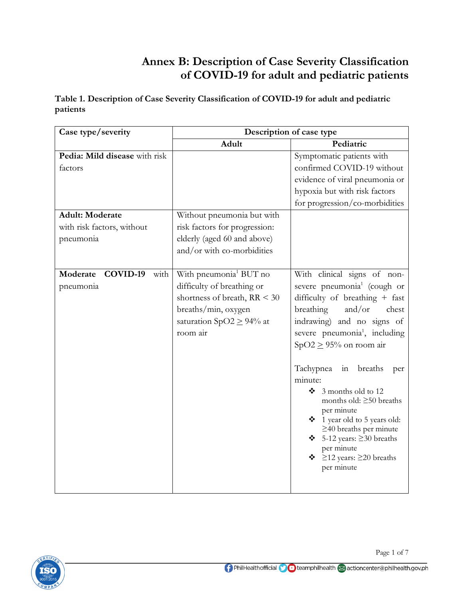## **Annex B: Description of Case Severity Classification of COVID-19 for adult and pediatric patients**

**Table 1. Description of Case Severity Classification of COVID-19 for adult and pediatric patients**

| Case type/severity                                                | Description of case type                                                                                                                                               |                                                                                                                                                                                                                                                                                                                                                                                                                                                                                                                                                         |
|-------------------------------------------------------------------|------------------------------------------------------------------------------------------------------------------------------------------------------------------------|---------------------------------------------------------------------------------------------------------------------------------------------------------------------------------------------------------------------------------------------------------------------------------------------------------------------------------------------------------------------------------------------------------------------------------------------------------------------------------------------------------------------------------------------------------|
|                                                                   | Adult                                                                                                                                                                  | Pediatric                                                                                                                                                                                                                                                                                                                                                                                                                                                                                                                                               |
| Pedia: Mild disease with risk<br>factors                          |                                                                                                                                                                        | Symptomatic patients with<br>confirmed COVID-19 without<br>evidence of viral pneumonia or<br>hypoxia but with risk factors<br>for progression/co-morbidities                                                                                                                                                                                                                                                                                                                                                                                            |
| <b>Adult: Moderate</b><br>with risk factors, without<br>pneumonia | Without pneumonia but with<br>risk factors for progression:<br>elderly (aged 60 and above)<br>and/or with co-morbidities                                               |                                                                                                                                                                                                                                                                                                                                                                                                                                                                                                                                                         |
| Moderate COVID-19<br>with<br>pneumonia                            | With pneumonia <sup>1</sup> BUT no<br>difficulty of breathing or<br>shortness of breath, $RR < 30$<br>breaths/min, oxygen<br>saturation SpO2 $\geq$ 94% at<br>room air | With clinical signs of non-<br>severe pneumonia <sup>1</sup> (cough or<br>difficulty of breathing + fast<br>breathing<br>and/or<br>chest<br>indrawing) and no signs of<br>severe pneumonia <sup>1</sup> , including<br>$SpO2 \ge 95\%$ on room air<br>Tachypnea in breaths<br>per<br>minute:<br>$\div$ 3 months old to 12<br>months old: $\geq 50$ breaths<br>per minute<br>❖ 1 year old to 5 years old:<br>$\geq$ 40 breaths per minute<br>$\bullet$ 5-12 years: $\geq$ 30 breaths<br>per minute<br>$\cdot \cdot$ ≥12 years: ≥20 breaths<br>per minute |

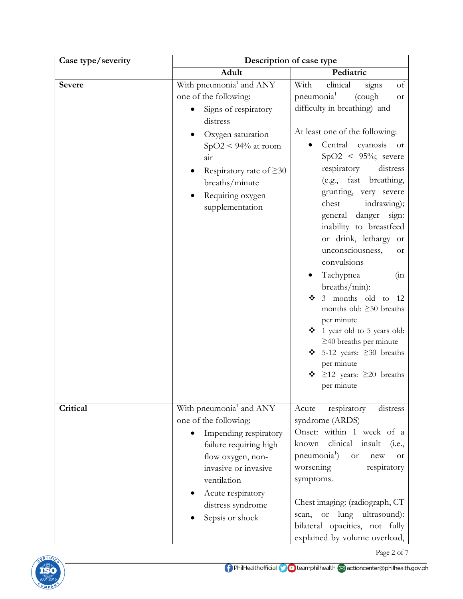| Case type/severity |                                                                                                                                                                                                                                          | Description of case type                                                                                                                                                                                                                                                                                                                                                                                                                                                                                                                                                                                                     |  |
|--------------------|------------------------------------------------------------------------------------------------------------------------------------------------------------------------------------------------------------------------------------------|------------------------------------------------------------------------------------------------------------------------------------------------------------------------------------------------------------------------------------------------------------------------------------------------------------------------------------------------------------------------------------------------------------------------------------------------------------------------------------------------------------------------------------------------------------------------------------------------------------------------------|--|
|                    | Adult                                                                                                                                                                                                                                    | Pediatric                                                                                                                                                                                                                                                                                                                                                                                                                                                                                                                                                                                                                    |  |
| <b>Severe</b>      | With pneumonia <sup>1</sup> and ANY<br>one of the following:<br>Signs of respiratory<br>distress                                                                                                                                         | With<br>clinical<br>of<br>signs<br>pneumonia <sup>1</sup><br>(cough<br>Οr<br>difficulty in breathing) and                                                                                                                                                                                                                                                                                                                                                                                                                                                                                                                    |  |
|                    | Oxygen saturation<br>$SpO2 < 94\%$ at room<br>air<br>Respiratory rate of $\geq 30$<br>breaths/minute<br>Requiring oxygen<br>supplementation                                                                                              | At least one of the following:<br>cyanosis<br>Central<br><b>or</b><br>$SpO2 \leq 95\%$ ; severe<br>respiratory<br>distress<br>fast breathing,<br>(e.g.,<br>grunting, very severe<br>indrawing);<br>chest<br>general danger sign:<br>inability to breastfeed<br>or drink, lethargy or<br>unconsciousness,<br>0r<br>convulsions<br>Tachypnea<br>(in)<br>breaths/min):<br>3 months old to<br>❖<br>-12<br>months old: $\geq 50$ breaths<br>per minute<br>1 year old to 5 years old:<br>$\geq$ 40 breaths per minute<br>5-12 years: $\geq 30$ breaths<br>❖<br>per minute<br>$\geq$ 12 years: $\geq$ 20 breaths<br>❖<br>per minute |  |
| Critical           | With pneumonia <sup>1</sup> and ANY<br>one of the following:<br>Impending respiratory<br>failure requiring high<br>flow oxygen, non-<br>invasive or invasive<br>ventilation<br>Acute respiratory<br>distress syndrome<br>Sepsis or shock | respiratory<br>Acute<br>distress<br>syndrome (ARDS)<br>Onset: within 1 week of a<br>clinical insult<br>known<br>(i.e.,<br>pneumonia <sup>1</sup> )<br><b>or</b><br>new<br><b>or</b><br>worsening<br>respiratory<br>symptoms.<br>Chest imaging: (radiograph, CT<br>or lung ultrasound):<br>scan,<br>bilateral opacities, not fully<br>explained by volume overload,                                                                                                                                                                                                                                                           |  |



Page 2 of 7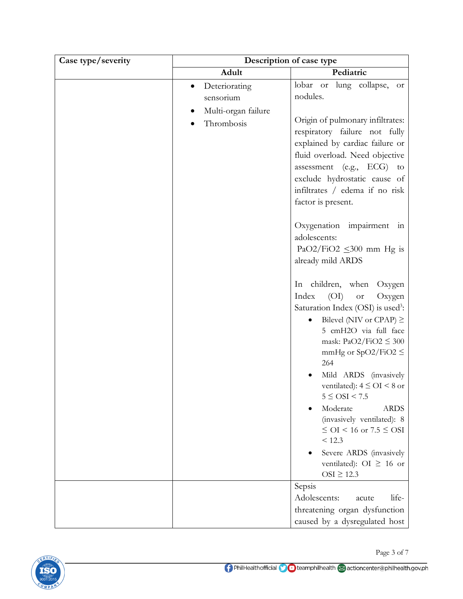| Case type/severity | Description of case type                                        |                                                                                                                                                                                                                                                                                                                                                                                                                                                                                                                                                                                                                                                                                                                                                                                |
|--------------------|-----------------------------------------------------------------|--------------------------------------------------------------------------------------------------------------------------------------------------------------------------------------------------------------------------------------------------------------------------------------------------------------------------------------------------------------------------------------------------------------------------------------------------------------------------------------------------------------------------------------------------------------------------------------------------------------------------------------------------------------------------------------------------------------------------------------------------------------------------------|
|                    | Adult                                                           | Pediatric                                                                                                                                                                                                                                                                                                                                                                                                                                                                                                                                                                                                                                                                                                                                                                      |
|                    | Deteriorating<br>sensorium<br>Multi-organ failure<br>Thrombosis | lobar or lung collapse,<br>$\hbox{or}$<br>nodules.<br>Origin of pulmonary infiltrates:<br>respiratory failure not fully<br>explained by cardiac failure or<br>fluid overload. Need objective<br>assessment (e.g., $ECG$ ) to<br>exclude hydrostatic cause of<br>infiltrates / edema if no risk<br>factor is present.<br>Oxygenation impairment in<br>adolescents:<br>PaO2/FiO2 $\leq$ 300 mm Hg is<br>already mild ARDS<br>In children, when<br>Oxygen<br>Index<br>(OI)<br>Oxygen<br><b>or</b><br>Saturation Index (OSI) is used <sup>3</sup> :<br>Bilevel (NIV or CPAP) $\geq$<br>5 cmH2O via full face<br>mask: $PaO2/FiO2 \leq 300$<br>mmHg or SpO2/FiO2 $\leq$<br>264<br>Mild ARDS (invasively<br>ventilated): $4 \leq OI < 8$ or<br>$5 \leq \text{OSI} < 7.5$<br>Moderate |
|                    |                                                                 | <b>ARDS</b><br>(invasively ventilated): 8<br>$\leq$ OI < 16 or 7.5 $\leq$ OSI<br>< 12.3<br>Severe ARDS (invasively<br>ventilated): OI $\geq$ 16 or                                                                                                                                                                                                                                                                                                                                                                                                                                                                                                                                                                                                                             |
|                    |                                                                 | $OSI \geq 12.3$<br>Sepsis<br>Adolescents:<br>life-<br>acute<br>threatening organ dysfunction                                                                                                                                                                                                                                                                                                                                                                                                                                                                                                                                                                                                                                                                                   |
|                    |                                                                 | caused by a dysregulated host                                                                                                                                                                                                                                                                                                                                                                                                                                                                                                                                                                                                                                                                                                                                                  |

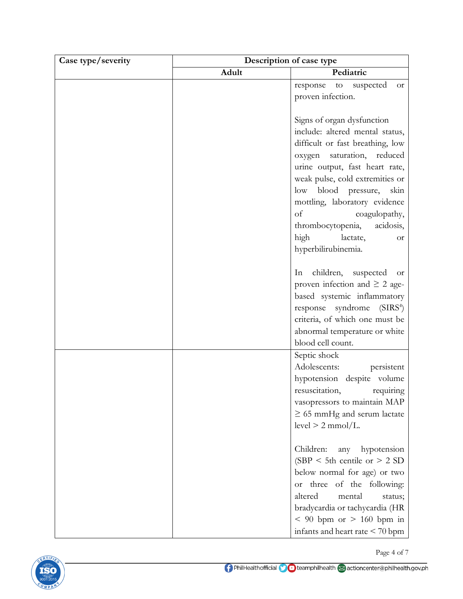| Case type/severity | Description of case type |                                         |
|--------------------|--------------------------|-----------------------------------------|
|                    | Adult                    | Pediatric                               |
|                    |                          | response to<br>suspected<br>$\hbox{or}$ |
|                    |                          | proven infection.                       |
|                    |                          |                                         |
|                    |                          | Signs of organ dysfunction              |
|                    |                          | include: altered mental status,         |
|                    |                          | difficult or fast breathing, low        |
|                    |                          | saturation, reduced<br>oxygen           |
|                    |                          | urine output, fast heart rate,          |
|                    |                          | weak pulse, cold extremities or         |
|                    |                          | low blood pressure,<br>skin             |
|                    |                          | mottling, laboratory evidence           |
|                    |                          | of<br>coagulopathy,                     |
|                    |                          | thrombocytopenia,<br>acidosis,          |
|                    |                          | high<br>lactate,<br>0r                  |
|                    |                          | hyperbilirubinemia.                     |
|                    |                          |                                         |
|                    |                          | children, suspected<br>In<br>- or       |
|                    |                          | proven infection and $\geq 2$ age-      |
|                    |                          | based systemic inflammatory             |
|                    |                          | response syndrome (SIRS <sup>4</sup> )  |
|                    |                          | criteria, of which one must be          |
|                    |                          | abnormal temperature or white           |
|                    |                          | blood cell count.                       |
|                    |                          | Septic shock                            |
|                    |                          | Adolescents:<br>persistent              |
|                    |                          | hypotension despite volume              |
|                    |                          | resuscitation, requiring                |
|                    |                          | vasopressors to maintain MAP            |
|                    |                          | $\geq$ 65 mmHg and serum lactate        |
|                    |                          | $level > 2$ mmol/L.                     |
|                    |                          |                                         |
|                    |                          | Children:<br>hypotension<br>any         |
|                    |                          | (SBP < 5th centile or $> 2$ SD          |
|                    |                          | below normal for age) or two            |
|                    |                          | three of the following:<br><b>Or</b>    |
|                    |                          | altered<br>mental<br>status;            |
|                    |                          | bradycardia or tachycardia (HR          |
|                    |                          | $< 90$ bpm or $> 160$ bpm in            |
|                    |                          | infants and heart rate $\leq 70$ bpm    |

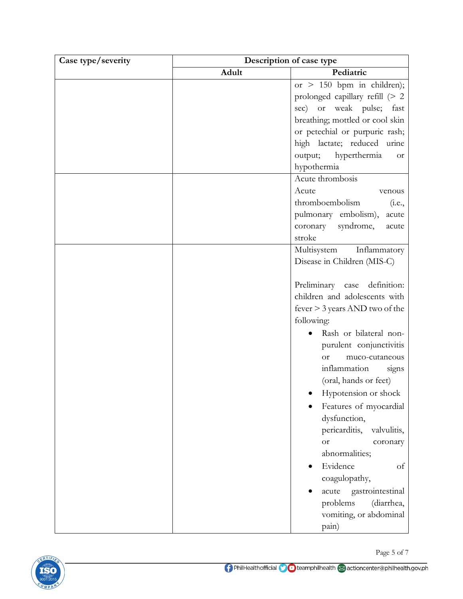| Case type/severity | Description of case type |                                   |
|--------------------|--------------------------|-----------------------------------|
|                    | Adult                    | Pediatric                         |
|                    |                          | or $> 150$ bpm in children);      |
|                    |                          | prolonged capillary refill (> 2   |
|                    |                          | sec) or weak pulse; fast          |
|                    |                          | breathing; mottled or cool skin   |
|                    |                          | or petechial or purpuric rash;    |
|                    |                          | high lactate; reduced urine       |
|                    |                          | output; hyperthermia<br><b>or</b> |
|                    |                          | hypothermia                       |
|                    |                          | Acute thrombosis                  |
|                    |                          | Acute<br>venous                   |
|                    |                          | thromboembolism<br>(i.e.,         |
|                    |                          | pulmonary embolism),<br>acute     |
|                    |                          | coronary<br>syndrome,<br>acute    |
|                    |                          | stroke                            |
|                    |                          | Multisystem Inflammatory          |
|                    |                          | Disease in Children (MIS-C)       |
|                    |                          | Preliminary case definition:      |
|                    |                          | children and adolescents with     |
|                    |                          | fever > 3 years AND two of the    |
|                    |                          | following:                        |
|                    |                          | Rash or bilateral non-            |
|                    |                          | purulent conjunctivitis           |
|                    |                          | muco-cutaneous<br><b>or</b>       |
|                    |                          | inflammation<br>signs             |
|                    |                          | (oral, hands or feet)             |
|                    |                          | Hypotension or shock              |
|                    |                          | Features of myocardial            |
|                    |                          | dysfunction,                      |
|                    |                          | pericarditis,<br>valvulitis,      |
|                    |                          | <b>or</b><br>coronary             |
|                    |                          | abnormalities;                    |
|                    |                          | Evidence<br>of                    |
|                    |                          | coagulopathy,                     |
|                    |                          | gastrointestinal<br>acute         |
|                    |                          | problems<br>(diarrhea,            |
|                    |                          | vomiting, or abdominal            |
|                    |                          | pain)                             |

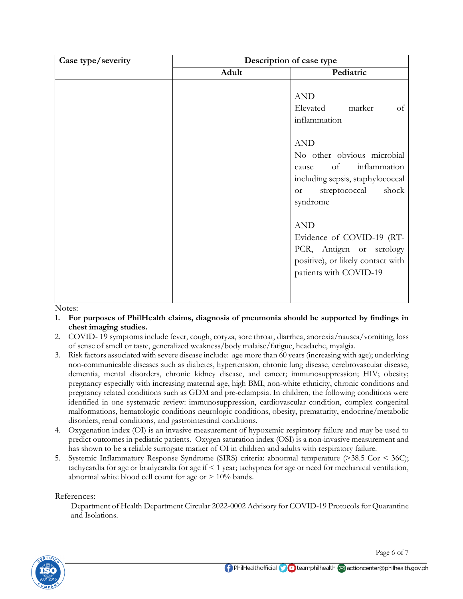| Case type/severity | Description of case type |                                                                                                                                                             |
|--------------------|--------------------------|-------------------------------------------------------------------------------------------------------------------------------------------------------------|
|                    | Adult                    | Pediatric                                                                                                                                                   |
|                    |                          | <b>AND</b><br>Elevated marker<br>of<br>inflammation                                                                                                         |
|                    |                          | <b>AND</b><br>No other obvious microbial<br>of inflammation<br>cause<br>including sepsis, staphylococcal<br>shock<br>streptococcal<br><b>or</b><br>syndrome |
|                    |                          | <b>AND</b><br>Evidence of COVID-19 (RT-<br>PCR, Antigen or serology<br>positive), or likely contact with<br>patients with COVID-19                          |

Notes:

- **1. For purposes of PhilHealth claims, diagnosis of pneumonia should be supported by findings in chest imaging studies.**
- 2. COVID- 19 symptoms include fever, cough, coryza, sore throat, diarrhea, anorexia/nausea/vomiting, loss of sense of smell or taste, generalized weakness/body malaise/fatigue, headache, myalgia.
- 3. Risk factors associated with severe disease include: age more than 60 years (increasing with age); underlying non-communicable diseases such as diabetes, hypertension, chronic lung disease, cerebrovascular disease, dementia, mental disorders, chronic kidney disease, and cancer; immunosuppression; HIV; obesity; pregnancy especially with increasing maternal age, high BMI, non-white ethnicity, chronic conditions and pregnancy related conditions such as GDM and pre-eclampsia. In children, the following conditions were identified in one systematic review: immunosuppression, cardiovascular condition, complex congenital malformations, hematologic conditions neurologic conditions, obesity, prematurity, endocrine/metabolic disorders, renal conditions, and gastrointestinal conditions.
- 4. Oxygenation index (OI) is an invasive measurement of hypoxemic respiratory failure and may be used to predict outcomes in pediatric patients. Oxygen saturation index (OSI) is a non-invasive measurement and has shown to be a reliable surrogate marker of OI in children and adults with respiratory failure.
- 5. Systemic Inflammatory Response Syndrome (SIRS) criteria: abnormal temperature (>38.5 Cor < 36C); tachycardia for age or bradycardia for age if < 1 year; tachypnea for age or need for mechanical ventilation, abnormal white blood cell count for age or  $> 10\%$  bands.

## References:

Department of Health Department Circular 2022-0002 Advisory for COVID-19 Protocols for Quarantine and Isolations.



Page 6 of 7